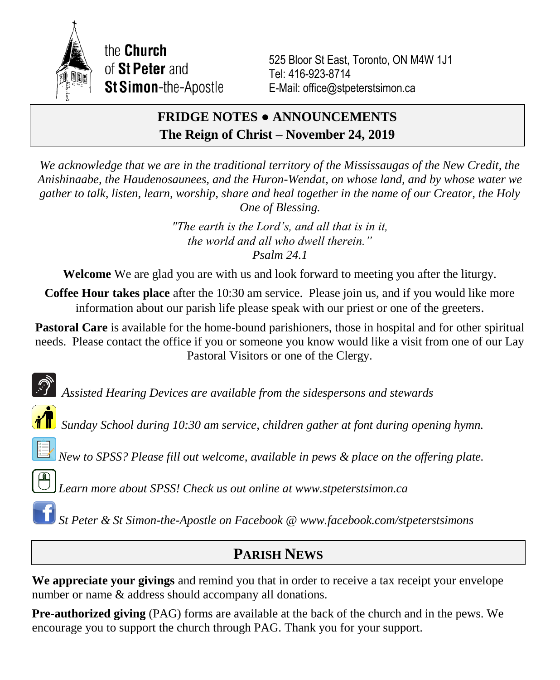

the Church of St Peter and **St Simon-the-Apostle** 

525 Bloor St East, Toronto, ON M4W 1J1 Tel: 416-923-8714 E-Mail: office@stpeterstsimon.ca

## **FRIDGE NOTES ● ANNOUNCEMENTS The Reign of Christ – November 24, 2019**

*We acknowledge that we are in the traditional territory of the Mississaugas of the New Credit, the Anishinaabe, the Haudenosaunees, and the Huron-Wendat, on whose land, and by whose water we gather to talk, listen, learn, worship, share and heal together in the name of our Creator, the Holy One of Blessing.*

> *"The earth is the Lord's, and all that is in it, the world and all who dwell therein." Psalm 24.1*

**Welcome** We are glad you are with us and look forward to meeting you after the liturgy.

**Coffee Hour takes place** after the 10:30 am service. Please join us, and if you would like more information about our parish life please speak with our priest or one of the greeters.

**Pastoral Care** is available for the home-bound parishioners, those in hospital and for other spiritual needs. Please contact the office if you or someone you know would like a visit from one of our Lay Pastoral Visitors or one of the Clergy.

*Assisted Hearing Devices are available from the sidespersons and stewards*

*Sunday School during 10:30 am service, children gather at font during opening hymn.*

*New to SPSS? Please fill out welcome, available in pews & place on the offering plate.*

*Learn more about SPSS! Check us out online at www.stpeterstsimon.ca*

*St Peter & St Simon-the-Apostle on Facebook @ www.facebook.com/stpeterstsimons*

# **PARISH NEWS**

**We appreciate your givings** and remind you that in order to receive a tax receipt your envelope number or name & address should accompany all donations.

**Pre-authorized giving** (PAG) forms are available at the back of the church and in the pews. We encourage you to support the church through PAG. Thank you for your support.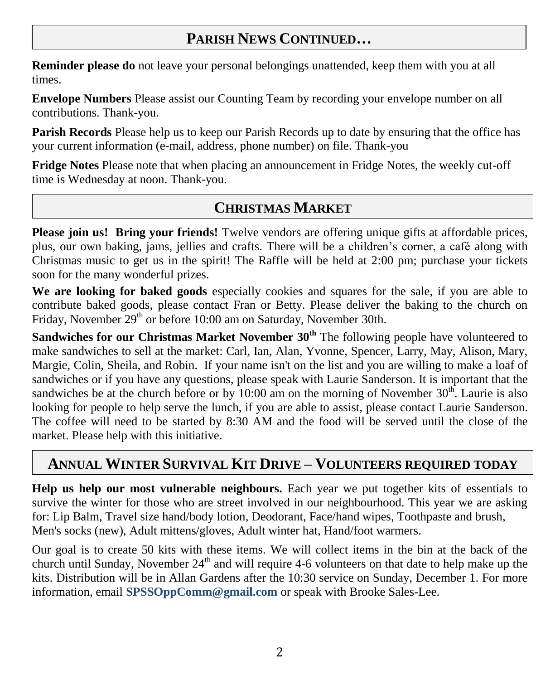# **PARISH NEWS CONTINUED…**

**Reminder please do** not leave your personal belongings unattended, keep them with you at all times.

**Envelope Numbers** Please assist our Counting Team by recording your envelope number on all contributions. Thank-you.

**Parish Records** Please help us to keep our Parish Records up to date by ensuring that the office has your current information (e-mail, address, phone number) on file. Thank-you

**Fridge Notes** Please note that when placing an announcement in Fridge Notes, the weekly cut-off time is Wednesday at noon. Thank-you.

## **CHRISTMAS MARKET**

Please join us! Bring your friends! Twelve vendors are offering unique gifts at affordable prices, plus, our own baking, jams, jellies and crafts. There will be a children's corner, a café along with Christmas music to get us in the spirit! The Raffle will be held at 2:00 pm; purchase your tickets soon for the many wonderful prizes.

**We are looking for baked goods** especially cookies and squares for the sale, if you are able to contribute baked goods, please contact Fran or Betty. Please deliver the baking to the church on Friday, November 29<sup>th</sup> or before 10:00 am on Saturday, November 30th.

**Sandwiches for our Christmas Market November 30<sup>th</sup> The following people have volunteered to** make sandwiches to sell at the market: Carl, Ian, Alan, Yvonne, Spencer, Larry, May, Alison, Mary, Margie, Colin, Sheila, and Robin. If your name isn't on the list and you are willing to make a loaf of sandwiches or if you have any questions, please speak with Laurie Sanderson. It is important that the sandwiches be at the church before or by 10:00 am on the morning of November  $30<sup>th</sup>$ . Laurie is also looking for people to help serve the lunch, if you are able to assist, please contact Laurie Sanderson. The coffee will need to be started by 8:30 AM and the food will be served until the close of the market. Please help with this initiative.

## **ANNUAL WINTER SURVIVAL KIT DRIVE – VOLUNTEERS REQUIRED TODAY**

**Help us help our most vulnerable neighbours.** Each year we put together kits of essentials to survive the winter for those who are street involved in our neighbourhood. This year we are asking for: Lip Balm, Travel size hand/body lotion, Deodorant, Face/hand wipes, Toothpaste and brush, Men's socks (new), Adult mittens/gloves, Adult winter hat, Hand/foot warmers.

Our goal is to create 50 kits with these items. We will collect items in the bin at the back of the church until Sunday, November  $24<sup>th</sup>$  and will require 4-6 volunteers on that date to help make up the kits. Distribution will be in Allan Gardens after the 10:30 service on Sunday, December 1. For more information, email **SPSSOppComm@gmail.com** or speak with Brooke Sales-Lee.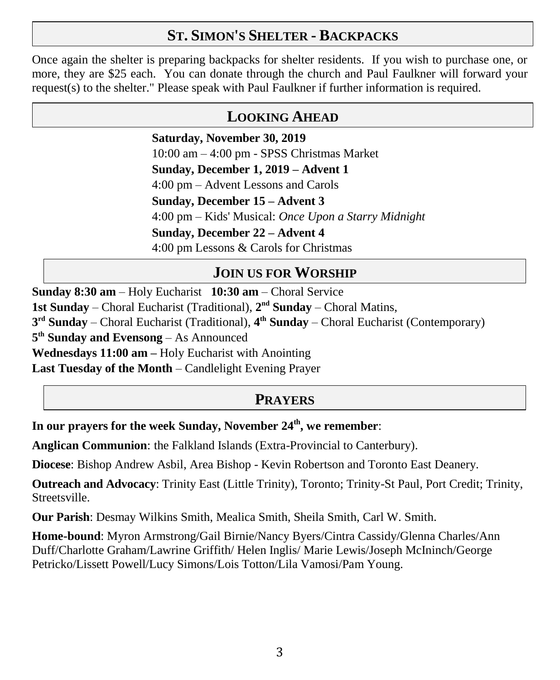### **ST. SIMON'S SHELTER - BACKPACKS**

Once again the shelter is preparing backpacks for shelter residents. If you wish to purchase one, or more, they are \$25 each. You can donate through the church and Paul Faulkner will forward your request(s) to the shelter." Please speak with Paul Faulkner if further information is required.

### **LOOKING AHEAD**

**Saturday, November 30, 2019** 10:00 am – 4:00 pm - SPSS Christmas Market **Sunday, December 1, 2019 – Advent 1** 4:00 pm – Advent Lessons and Carols **Sunday, December 15 – Advent 3** 4:00 pm – Kids' Musical: *Once Upon a Starry Midnight* **Sunday, December 22 – Advent 4** 4:00 pm Lessons & Carols for Christmas

## **JOIN US FOR WORSHIP**

**Sunday 8:30 am** – Holy Eucharist **10:30 am** – Choral Service 1st Sunday – Choral Eucharist (Traditional),  $2<sup>nd</sup>$  Sunday – Choral Matins, **3 rd Sunday** – Choral Eucharist (Traditional), **4 th Sunday** – Choral Eucharist (Contemporary) **5 th Sunday and Evensong** – As Announced **Wednesdays 11:00 am –** Holy Eucharist with Anointing **Last Tuesday of the Month** – Candlelight Evening Prayer

## **PRAYERS**

**In our prayers for the week Sunday, November 24th, we remember**:

**Anglican Communion**: the Falkland Islands (Extra-Provincial to Canterbury).

**Diocese**: Bishop Andrew Asbil, Area Bishop - Kevin Robertson and Toronto East Deanery.

**Outreach and Advocacy**: Trinity East (Little Trinity), Toronto; Trinity-St Paul, Port Credit; Trinity, Streetsville.

**Our Parish**: Desmay Wilkins Smith, Mealica Smith, Sheila Smith, Carl W. Smith.

**Home-bound**: Myron Armstrong/Gail Birnie/Nancy Byers/Cintra Cassidy/Glenna Charles/Ann Duff/Charlotte Graham/Lawrine Griffith/ Helen Inglis/ Marie Lewis/Joseph McIninch/George Petricko/Lissett Powell/Lucy Simons/Lois Totton/Lila Vamosi/Pam Young.